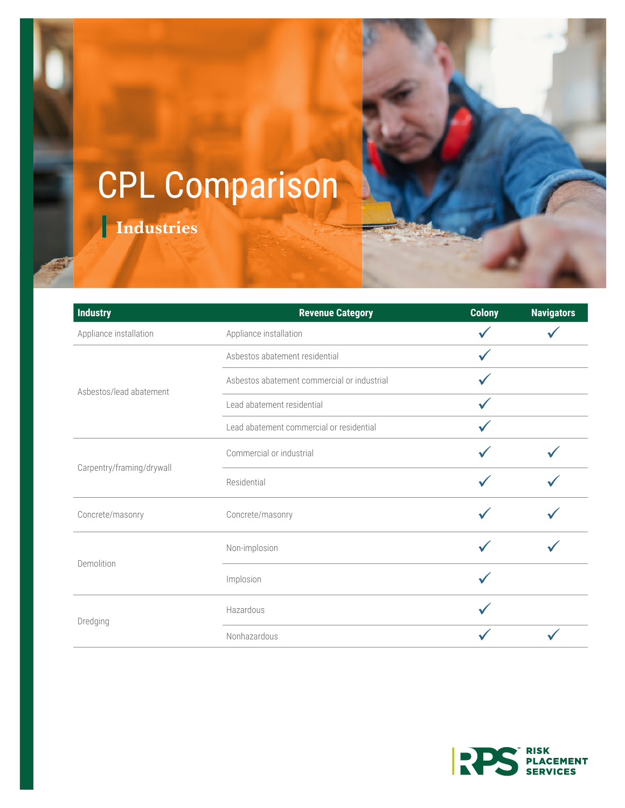## CPL Comparison

**Industries**

| <b>Industry</b>           | <b>Revenue Category</b>                     | <b>Colony</b> | <b>Navigators</b> |
|---------------------------|---------------------------------------------|---------------|-------------------|
| Appliance installation    | Appliance installation                      |               |                   |
| Asbestos/lead abatement   | Asbestos abatement residential              |               |                   |
|                           | Asbestos abatement commercial or industrial |               |                   |
|                           | Lead abatement residential                  |               |                   |
|                           | Lead abatement commercial or residential    |               |                   |
| Carpentry/framing/drywall | Commercial or industrial                    |               |                   |
|                           | Residential                                 |               |                   |
| Concrete/masonry          | Concrete/masonry                            |               |                   |
| Demolition                | Non-implosion                               |               |                   |
|                           | Implosion                                   |               |                   |
| Dredging                  | Hazardous                                   |               |                   |
|                           | Nonhazardous                                |               |                   |

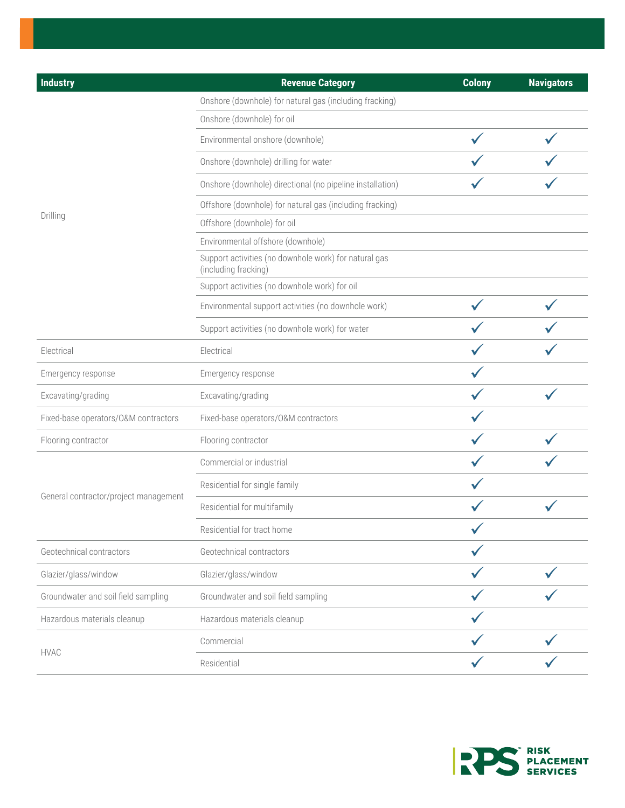| <b>Industry</b>                       | <b>Revenue Category</b>                                                       | <b>Colony</b> | <b>Navigators</b> |
|---------------------------------------|-------------------------------------------------------------------------------|---------------|-------------------|
|                                       | Onshore (downhole) for natural gas (including fracking)                       |               |                   |
|                                       | Onshore (downhole) for oil                                                    |               |                   |
|                                       | Environmental onshore (downhole)                                              |               |                   |
|                                       | Onshore (downhole) drilling for water                                         |               |                   |
|                                       | Onshore (downhole) directional (no pipeline installation)                     |               |                   |
|                                       | Offshore (downhole) for natural gas (including fracking)                      |               |                   |
| Drilling                              | Offshore (downhole) for oil                                                   |               |                   |
|                                       | Environmental offshore (downhole)                                             |               |                   |
|                                       | Support activities (no downhole work) for natural gas<br>(including fracking) |               |                   |
|                                       | Support activities (no downhole work) for oil                                 |               |                   |
|                                       | Environmental support activities (no downhole work)                           |               |                   |
|                                       | Support activities (no downhole work) for water                               |               |                   |
| Electrical                            | Electrical                                                                    |               |                   |
| Emergency response                    | Emergency response                                                            |               |                   |
| Excavating/grading                    | Excavating/grading                                                            |               |                   |
| Fixed-base operators/O&M contractors  | Fixed-base operators/O&M contractors                                          |               |                   |
| Flooring contractor                   | Flooring contractor                                                           |               |                   |
|                                       | Commercial or industrial                                                      |               |                   |
|                                       | Residential for single family                                                 |               |                   |
| General contractor/project management | Residential for multifamily                                                   |               |                   |
|                                       | Residential for tract home                                                    |               |                   |
| Geotechnical contractors              | Geotechnical contractors                                                      |               |                   |
| Glazier/glass/window                  | Glazier/glass/window                                                          |               |                   |
| Groundwater and soil field sampling   | Groundwater and soil field sampling                                           |               |                   |
| Hazardous materials cleanup           | Hazardous materials cleanup                                                   |               |                   |
| <b>HVAC</b>                           | Commercial                                                                    |               |                   |
|                                       | Residential                                                                   |               |                   |

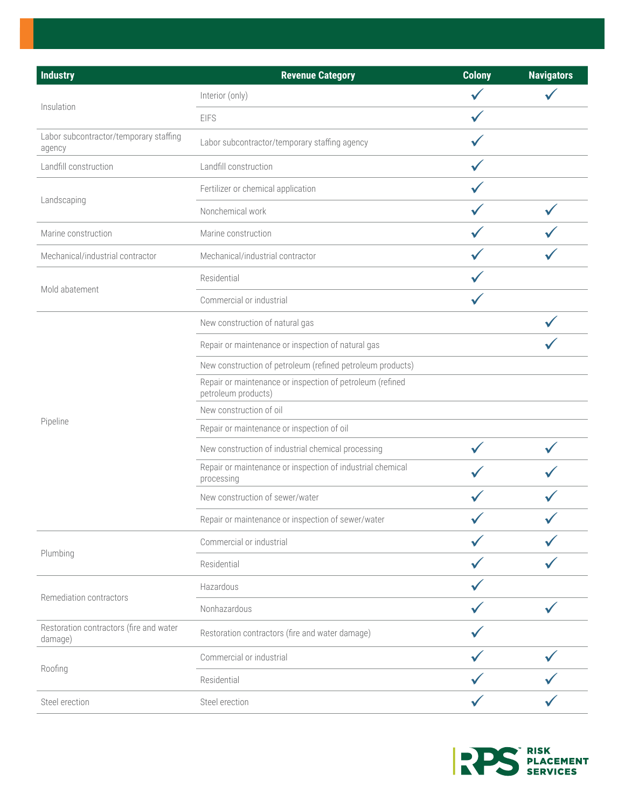| <b>Industry</b>                                    | <b>Revenue Category</b>                                                          | <b>Colony</b> | <b>Navigators</b> |
|----------------------------------------------------|----------------------------------------------------------------------------------|---------------|-------------------|
| Insulation                                         | Interior (only)                                                                  |               |                   |
|                                                    | <b>EIFS</b>                                                                      |               |                   |
| Labor subcontractor/temporary staffing<br>agency   | Labor subcontractor/temporary staffing agency                                    |               |                   |
| Landfill construction                              | Landfill construction                                                            |               |                   |
| Landscaping                                        | Fertilizer or chemical application                                               |               |                   |
|                                                    | Nonchemical work                                                                 |               |                   |
| Marine construction                                | Marine construction                                                              |               |                   |
| Mechanical/industrial contractor                   | Mechanical/industrial contractor                                                 |               |                   |
|                                                    | Residential                                                                      |               |                   |
| Mold abatement                                     | Commercial or industrial                                                         |               |                   |
|                                                    | New construction of natural gas                                                  |               |                   |
|                                                    | Repair or maintenance or inspection of natural gas                               |               |                   |
|                                                    | New construction of petroleum (refined petroleum products)                       |               |                   |
|                                                    | Repair or maintenance or inspection of petroleum (refined<br>petroleum products) |               |                   |
|                                                    | New construction of oil                                                          |               |                   |
| Pipeline                                           | Repair or maintenance or inspection of oil                                       |               |                   |
|                                                    | New construction of industrial chemical processing                               |               |                   |
|                                                    | Repair or maintenance or inspection of industrial chemical<br>processing         |               |                   |
|                                                    | New construction of sewer/water                                                  |               |                   |
|                                                    | Repair or maintenance or inspection of sewer/water                               |               |                   |
|                                                    | Commercial or industrial                                                         |               |                   |
| Plumbing                                           | Residential                                                                      |               |                   |
|                                                    | Hazardous                                                                        |               |                   |
| Remediation contractors                            | Nonhazardous                                                                     |               |                   |
| Restoration contractors (fire and water<br>damage) | Restoration contractors (fire and water damage)                                  |               |                   |
| Roofing                                            | Commercial or industrial                                                         |               |                   |
|                                                    | Residential                                                                      |               |                   |
| Steel erection                                     | Steel erection                                                                   |               |                   |